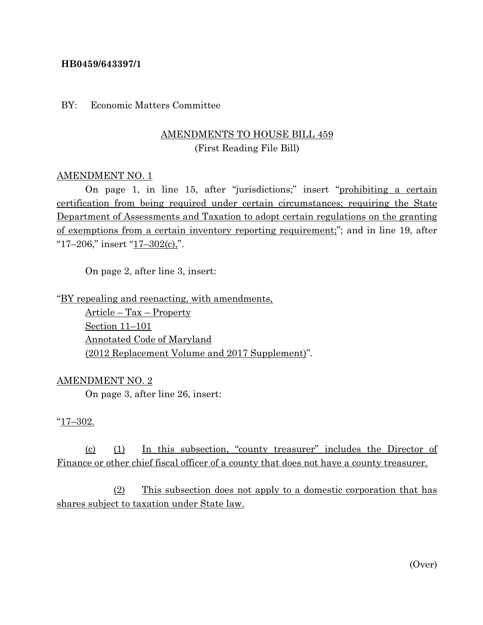#### **HB0459/643397/1**

BY: Economic Matters Committee

## AMENDMENTS TO HOUSE BILL 459 (First Reading File Bill)

#### AMENDMENT NO. 1

On page 1, in line 15, after "jurisdictions;" insert "prohibiting a certain certification from being required under certain circumstances; requiring the State Department of Assessments and Taxation to adopt certain regulations on the granting of exemptions from a certain inventory reporting requirement;"; and in line 19, after " $17-206$ ," insert " $17-302(c)$ ,".

On page 2, after line 3, insert:

"BY repealing and reenacting, with amendments,

Article – Tax – Property Section 11–101 Annotated Code of Maryland (2012 Replacement Volume and 2017 Supplement)".

#### AMENDMENT NO. 2

On page 3, after line 26, insert:

#### "17–302.

(c) (1) In this subsection, "county treasurer" includes the Director of Finance or other chief fiscal officer of a county that does not have a county treasurer.

(2) This subsection does not apply to a domestic corporation that has shares subject to taxation under State law.

(Over)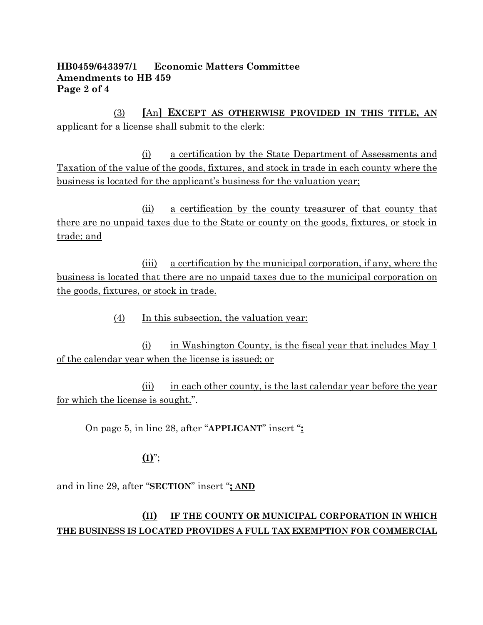### **HB0459/643397/1 Economic Matters Committee Amendments to HB 459 Page 2 of 4**

(3) **[**An**] EXCEPT AS OTHERWISE PROVIDED IN THIS TITLE, AN** applicant for a license shall submit to the clerk:

(i) a certification by the State Department of Assessments and Taxation of the value of the goods, fixtures, and stock in trade in each county where the business is located for the applicant's business for the valuation year;

(ii) a certification by the county treasurer of that county that there are no unpaid taxes due to the State or county on the goods, fixtures, or stock in trade; and

(iii) a certification by the municipal corporation, if any, where the business is located that there are no unpaid taxes due to the municipal corporation on the goods, fixtures, or stock in trade.

(4) In this subsection, the valuation year:

(i) in Washington County, is the fiscal year that includes May 1 of the calendar year when the license is issued; or

(ii) in each other county, is the last calendar year before the year for which the license is sought.".

On page 5, in line 28, after "**APPLICANT**" insert "**:**

## **(I)**";

and in line 29, after "**SECTION**" insert "**; AND**

## **(II) IF THE COUNTY OR MUNICIPAL CORPORATION IN WHICH THE BUSINESS IS LOCATED PROVIDES A FULL TAX EXEMPTION FOR COMMERCIAL**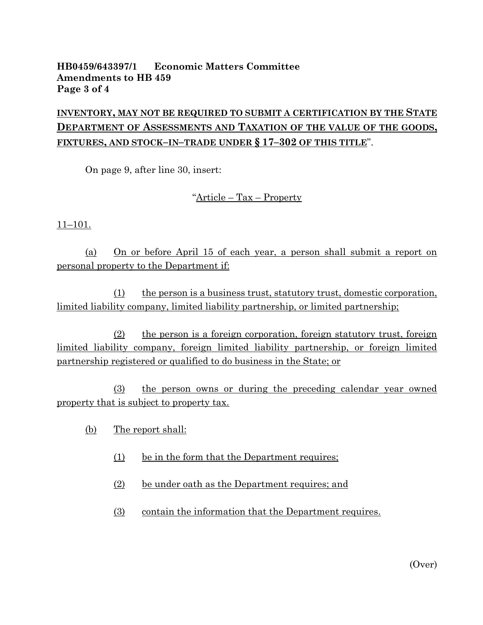### **HB0459/643397/1 Economic Matters Committee Amendments to HB 459 Page 3 of 4**

# **INVENTORY, MAY NOT BE REQUIRED TO SUBMIT A CERTIFICATION BY THE STATE DEPARTMENT OF ASSESSMENTS AND TAXATION OF THE VALUE OF THE GOODS, FIXTURES, AND STOCK–IN–TRADE UNDER § 17–302 OF THIS TITLE**".

On page 9, after line 30, insert:

"Article – Tax – Property

11–101.

(a) On or before April 15 of each year, a person shall submit a report on personal property to the Department if:

(1) the person is a business trust, statutory trust, domestic corporation, limited liability company, limited liability partnership, or limited partnership;

(2) the person is a foreign corporation, foreign statutory trust, foreign limited liability company, foreign limited liability partnership, or foreign limited partnership registered or qualified to do business in the State; or

(3) the person owns or during the preceding calendar year owned property that is subject to property tax.

- (b) The report shall:
	- (1) be in the form that the Department requires;
	- (2) be under oath as the Department requires; and
	- (3) contain the information that the Department requires.